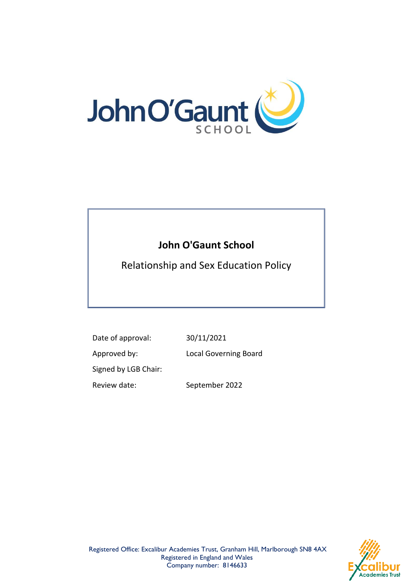

# **John O'Gaunt School**

Relationship and Sex Education Policy

Date of approval: 30/11/2021 Approved by: Local Governing Board Signed by LGB Chair: Review date: September 2022

Registered Office: Excalibur Academies Trust, Granham Hill, Marlborough SN8 4AX Registered in England and Wales Company number: 8146633

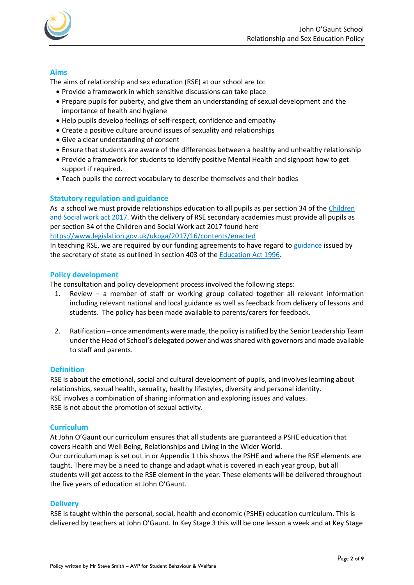

### **Aims**

The aims of relationship and sex education (RSE) at our school are to:

- Provide a framework in which sensitive discussions can take place
- Prepare pupils for puberty, and give them an understanding of sexual development and the importance of health and hygiene
- Help pupils develop feelings of self-respect, confidence and empathy
- Create a positive culture around issues of sexuality and relationships
- Give a clear understanding of consent
- Ensure that students are aware of the differences between a healthy and unhealthy relationship
- Provide a framework for students to identify positive Mental Health and signpost how to get support if required.
- Teach pupils the correct vocabulary to describe themselves and their bodies

#### **Statutory regulation and guidance**

As a school we must provide relationships education to all pupils as per section 34 of th[e Children](http://www.legislation.gov.uk/ukpga/2017/16/section/34/enacted)  [and Social work act 2017.](http://www.legislation.gov.uk/ukpga/2017/16/section/34/enacted) With the delivery of RSE secondary academies must provide all pupils as per section 34 of the Children and Social Work act 2017 found here <https://www.legislation.gov.uk/ukpga/2017/16/contents/enacted>

In teaching RSE, we are required by our funding agreements to have regard t[o guidance](https://www.gov.uk/government/consultations/relationships-and-sex-education-and-health-education) issued by the secretary of state as outlined in section 403 of th[e Education Act 1996.](http://www.legislation.gov.uk/ukpga/1996/56/contents)

#### **Policy development**

The consultation and policy development process involved the following steps:

- 1. Review a member of staff or working group collated together all relevant information including relevant national and local guidance as well as feedback from delivery of lessons and students. The policy has been made available to parents/carers for feedback.
- 2. Ratification once amendments were made, the policy is ratified by the Senior Leadership Team under the Head of School's delegated power and was shared with governors and made available to staff and parents.

#### **Definition**

RSE is about the emotional, social and cultural development of pupils, and involves learning about relationships, sexual health, sexuality, healthy lifestyles, diversity and personal identity. RSE involves a combination of sharing information and exploring issues and values. RSE is not about the promotion of sexual activity.

#### **Curriculum**

At John O'Gaunt our curriculum ensures that all students are guaranteed a PSHE education that covers Health and Well Being, Relationships and Living in the Wider World. Our curriculum map is set out in or Appendix 1 this shows the PSHE and where the RSE elements are

taught. There may be a need to change and adapt what is covered in each year group, but all students will get access to the RSE element in the year. These elements will be delivered throughout the five years of education at John O'Gaunt.

#### **Delivery**

RSE is taught within the personal, social, health and economic (PSHE) education curriculum. This is delivered by teachers at John O'Gaunt. In Key Stage 3 this will be one lesson a week and at Key Stage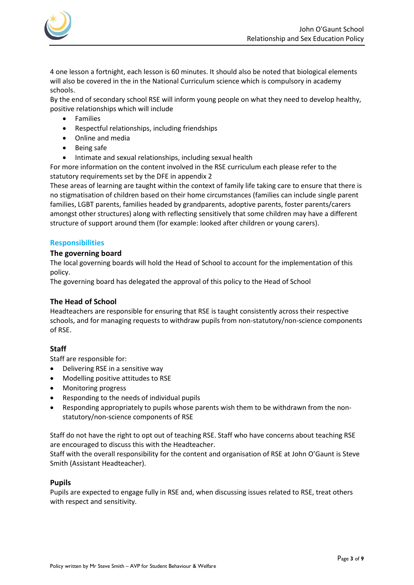

4 one lesson a fortnight, each lesson is 60 minutes. It should also be noted that biological elements will also be covered in the in the National Curriculum science which is compulsory in academy schools.

By the end of secondary school RSE will inform young people on what they need to develop healthy, positive relationships which will include

- **Families**
- Respectful relationships, including friendships
- Online and media
- Being safe
- Intimate and sexual relationships, including sexual health

For more information on the content involved in the RSE curriculum each please refer to the statutory requirements set by the DFE in appendix 2

These areas of learning are taught within the context of family life taking care to ensure that there is no stigmatisation of children based on their home circumstances (families can include single parent families, LGBT parents, families headed by grandparents, adoptive parents, foster parents/carers amongst other structures) along with reflecting sensitively that some children may have a different structure of support around them (for example: looked after children or young carers).

## **Responsibilities**

#### **The governing board**

The local governing boards will hold the Head of School to account for the implementation of this policy.

The governing board has delegated the approval of this policy to the Head of School

### **The Head of School**

Headteachers are responsible for ensuring that RSE is taught consistently across their respective schools, and for managing requests to withdraw pupils from non-statutory/non-science components of RSE.

### **Staff**

Staff are responsible for:

- Delivering RSE in a sensitive way
- Modelling positive attitudes to RSE
- Monitoring progress
- Responding to the needs of individual pupils
- Responding appropriately to pupils whose parents wish them to be withdrawn from the nonstatutory/non-science components of RSE

Staff do not have the right to opt out of teaching RSE. Staff who have concerns about teaching RSE are encouraged to discuss this with the Headteacher.

Staff with the overall responsibility for the content and organisation of RSE at John O'Gaunt is Steve Smith (Assistant Headteacher).

#### **Pupils**

Pupils are expected to engage fully in RSE and, when discussing issues related to RSE, treat others with respect and sensitivity.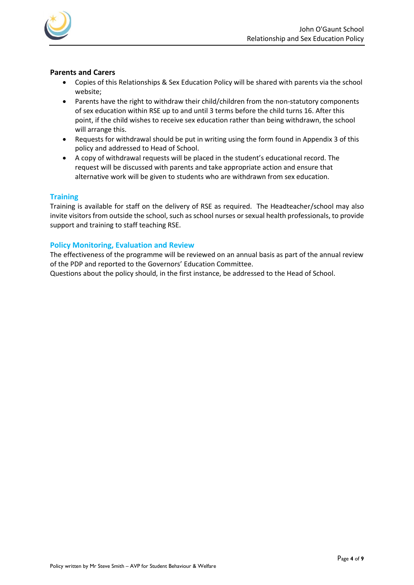

#### **Parents and Carers**

- Copies of this Relationships & Sex Education Policy will be shared with parents via the school website;
- Parents have the right to withdraw their child/children from the non-statutory components of sex education within RSE up to and until 3 terms before the child turns 16. After this point, if the child wishes to receive sex education rather than being withdrawn, the school will arrange this.
- Requests for withdrawal should be put in writing using the form found in Appendix 3 of this policy and addressed to Head of School.
- A copy of withdrawal requests will be placed in the student's educational record. The request will be discussed with parents and take appropriate action and ensure that alternative work will be given to students who are withdrawn from sex education.

### **Training**

Training is available for staff on the delivery of RSE as required. The Headteacher/school may also invite visitors from outside the school, such as school nurses or sexual health professionals, to provide support and training to staff teaching RSE.

### **Policy Monitoring, Evaluation and Review**

The effectiveness of the programme will be reviewed on an annual basis as part of the annual review of the PDP and reported to the Governors' Education Committee.

Questions about the policy should, in the first instance, be addressed to the Head of School.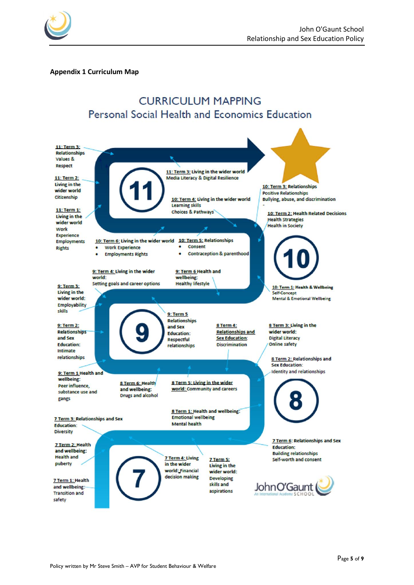

#### **Appendix 1 Curriculum Map**

# **CURRICULUM MAPPING** Personal Social Health and Economics Education

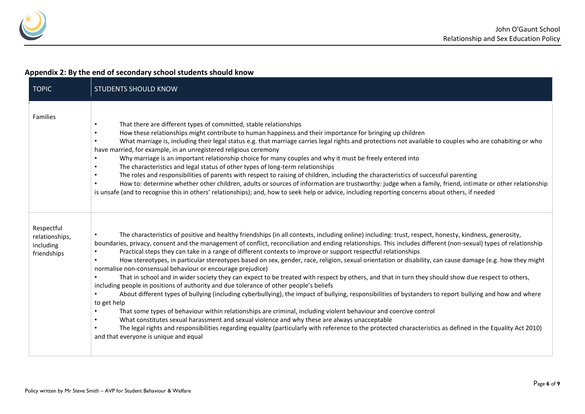

# **Appendix 2: By the end of secondary school students should know**

| <b>TOPIC</b>                                             | <b>STUDENTS SHOULD KNOW</b>                                                                                                                                                                                                                                                                                                                                                                                                                                                                                                                                                                                                                                                                                                                                                                                                                                                                                                                                                                                                                                                                                                                                                                                                                                                                                                                                                                                                                                                                                                                                        |
|----------------------------------------------------------|--------------------------------------------------------------------------------------------------------------------------------------------------------------------------------------------------------------------------------------------------------------------------------------------------------------------------------------------------------------------------------------------------------------------------------------------------------------------------------------------------------------------------------------------------------------------------------------------------------------------------------------------------------------------------------------------------------------------------------------------------------------------------------------------------------------------------------------------------------------------------------------------------------------------------------------------------------------------------------------------------------------------------------------------------------------------------------------------------------------------------------------------------------------------------------------------------------------------------------------------------------------------------------------------------------------------------------------------------------------------------------------------------------------------------------------------------------------------------------------------------------------------------------------------------------------------|
| Families                                                 | That there are different types of committed, stable relationships<br>$\bullet$<br>How these relationships might contribute to human happiness and their importance for bringing up children<br>$\bullet$<br>What marriage is, including their legal status e.g. that marriage carries legal rights and protections not available to couples who are cohabiting or who<br>$\bullet$<br>have married, for example, in an unregistered religious ceremony<br>Why marriage is an important relationship choice for many couples and why it must be freely entered into<br>The characteristics and legal status of other types of long-term relationships<br>$\bullet$<br>The roles and responsibilities of parents with respect to raising of children, including the characteristics of successful parenting<br>$\bullet$<br>How to: determine whether other children, adults or sources of information are trustworthy: judge when a family, friend, intimate or other relationship<br>is unsafe (and to recognise this in others' relationships); and, how to seek help or advice, including reporting concerns about others, if needed                                                                                                                                                                                                                                                                                                                                                                                                                             |
| Respectful<br>relationships,<br>including<br>friendships | The characteristics of positive and healthy friendships (in all contexts, including online) including: trust, respect, honesty, kindness, generosity,<br>$\bullet$<br>boundaries, privacy, consent and the management of conflict, reconciliation and ending relationships. This includes different (non-sexual) types of relationship<br>Practical steps they can take in a range of different contexts to improve or support respectful relationships<br>$\bullet$<br>How stereotypes, in particular stereotypes based on sex, gender, race, religion, sexual orientation or disability, can cause damage (e.g. how they might<br>$\bullet$<br>normalise non-consensual behaviour or encourage prejudice)<br>That in school and in wider society they can expect to be treated with respect by others, and that in turn they should show due respect to others,<br>including people in positions of authority and due tolerance of other people's beliefs<br>About different types of bullying (including cyberbullying), the impact of bullying, responsibilities of bystanders to report bullying and how and where<br>to get help<br>That some types of behaviour within relationships are criminal, including violent behaviour and coercive control<br>What constitutes sexual harassment and sexual violence and why these are always unacceptable<br>The legal rights and responsibilities regarding equality (particularly with reference to the protected characteristics as defined in the Equality Act 2010)<br>and that everyone is unique and equal |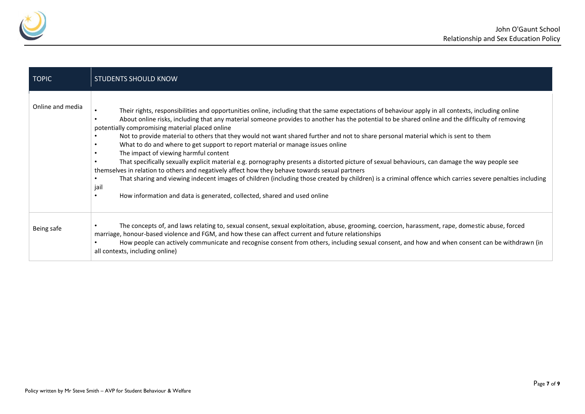

| <b>TOPIC</b>     | <b>STUDENTS SHOULD KNOW</b>                                                                                                                                                                                                                                                                                                                                                                                                                                                                                                                                                                                                                                                                                                                                                                                                                                                                                                                                                                                                                                                                                                                                                                      |
|------------------|--------------------------------------------------------------------------------------------------------------------------------------------------------------------------------------------------------------------------------------------------------------------------------------------------------------------------------------------------------------------------------------------------------------------------------------------------------------------------------------------------------------------------------------------------------------------------------------------------------------------------------------------------------------------------------------------------------------------------------------------------------------------------------------------------------------------------------------------------------------------------------------------------------------------------------------------------------------------------------------------------------------------------------------------------------------------------------------------------------------------------------------------------------------------------------------------------|
| Online and media | Their rights, responsibilities and opportunities online, including that the same expectations of behaviour apply in all contexts, including online<br>$\bullet$<br>About online risks, including that any material someone provides to another has the potential to be shared online and the difficulty of removing<br>$\bullet$<br>potentially compromising material placed online<br>Not to provide material to others that they would not want shared further and not to share personal material which is sent to them<br>What to do and where to get support to report material or manage issues online<br>$\bullet$<br>The impact of viewing harmful content<br>$\bullet$<br>That specifically sexually explicit material e.g. pornography presents a distorted picture of sexual behaviours, can damage the way people see<br>themselves in relation to others and negatively affect how they behave towards sexual partners<br>That sharing and viewing indecent images of children (including those created by children) is a criminal offence which carries severe penalties including<br>jail<br>How information and data is generated, collected, shared and used online<br>$\bullet$ |
| Being safe       | The concepts of, and laws relating to, sexual consent, sexual exploitation, abuse, grooming, coercion, harassment, rape, domestic abuse, forced<br>marriage, honour-based violence and FGM, and how these can affect current and future relationships<br>How people can actively communicate and recognise consent from others, including sexual consent, and how and when consent can be withdrawn (in<br>all contexts, including online)                                                                                                                                                                                                                                                                                                                                                                                                                                                                                                                                                                                                                                                                                                                                                       |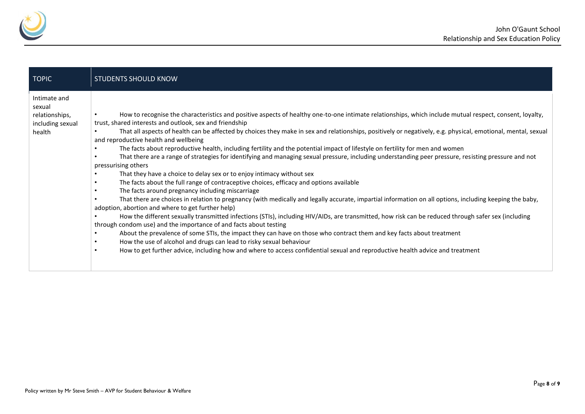

| <b>TOPIC</b>                                                           | <b>STUDENTS SHOULD KNOW</b>                                                                                                                                                                                                                                                                                                                                                                                                                                                                                                                                                                                                                                                                                                                                                                                                                                                                                                                                                                                                                                                                                                                                                                                                                                                                                                                                                                                                                                                                                                                                                                                                                                                                                                                                                                                                                             |
|------------------------------------------------------------------------|---------------------------------------------------------------------------------------------------------------------------------------------------------------------------------------------------------------------------------------------------------------------------------------------------------------------------------------------------------------------------------------------------------------------------------------------------------------------------------------------------------------------------------------------------------------------------------------------------------------------------------------------------------------------------------------------------------------------------------------------------------------------------------------------------------------------------------------------------------------------------------------------------------------------------------------------------------------------------------------------------------------------------------------------------------------------------------------------------------------------------------------------------------------------------------------------------------------------------------------------------------------------------------------------------------------------------------------------------------------------------------------------------------------------------------------------------------------------------------------------------------------------------------------------------------------------------------------------------------------------------------------------------------------------------------------------------------------------------------------------------------------------------------------------------------------------------------------------------------|
| Intimate and<br>sexual<br>relationships,<br>including sexual<br>health | How to recognise the characteristics and positive aspects of healthy one-to-one intimate relationships, which include mutual respect, consent, loyalty,<br>$\bullet$<br>trust, shared interests and outlook, sex and friendship<br>That all aspects of health can be affected by choices they make in sex and relationships, positively or negatively, e.g. physical, emotional, mental, sexual<br>and reproductive health and wellbeing<br>The facts about reproductive health, including fertility and the potential impact of lifestyle on fertility for men and women<br>That there are a range of strategies for identifying and managing sexual pressure, including understanding peer pressure, resisting pressure and not<br>$\bullet$<br>pressurising others<br>That they have a choice to delay sex or to enjoy intimacy without sex<br>The facts about the full range of contraceptive choices, efficacy and options available<br>$\bullet$<br>The facts around pregnancy including miscarriage<br>$\bullet$<br>That there are choices in relation to pregnancy (with medically and legally accurate, impartial information on all options, including keeping the baby,<br>adoption, abortion and where to get further help)<br>How the different sexually transmitted infections (STIs), including HIV/AIDs, are transmitted, how risk can be reduced through safer sex (including<br>$\bullet$<br>through condom use) and the importance of and facts about testing<br>About the prevalence of some STIs, the impact they can have on those who contract them and key facts about treatment<br>$\bullet$<br>How the use of alcohol and drugs can lead to risky sexual behaviour<br>$\bullet$<br>How to get further advice, including how and where to access confidential sexual and reproductive health advice and treatment<br>$\bullet$ |